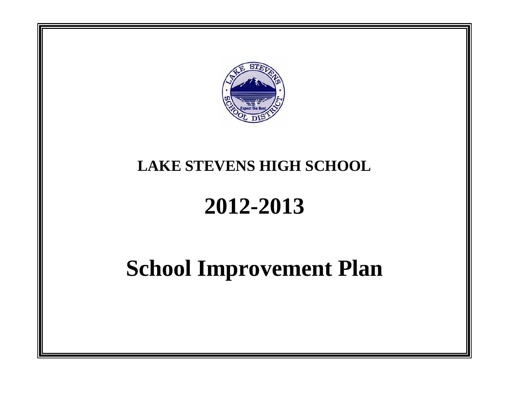

# **LAKE STEVENS HIGH SCHOOL**

# **2012-2013**

# **School Improvement Plan**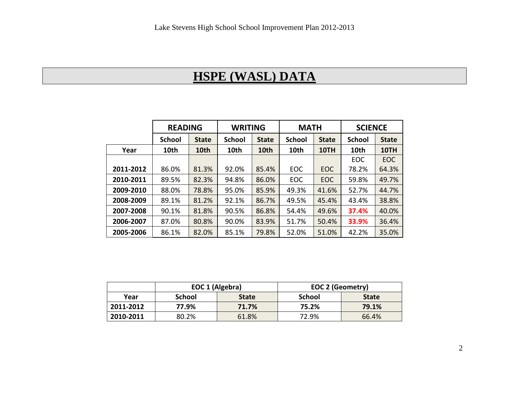# **HSPE (WASL) DATA**

|           | <b>READING</b> |                  | <b>WRITING</b> |              | <b>MATH</b>   |              | <b>SCIENCE</b> |              |
|-----------|----------------|------------------|----------------|--------------|---------------|--------------|----------------|--------------|
|           | <b>School</b>  | <b>State</b>     | <b>School</b>  | <b>State</b> | <b>School</b> | <b>State</b> | <b>School</b>  | <b>State</b> |
| Year      | 10th           | 10 <sub>th</sub> | 10th           | 10th         | 10th          | 10TH         | 10th           | 10TH         |
|           |                |                  |                |              |               |              | EOC            | <b>EOC</b>   |
| 2011-2012 | 86.0%          | 81.3%            | 92.0%          | 85.4%        | EOC           | <b>EOC</b>   | 78.2%          | 64.3%        |
| 2010-2011 | 89.5%          | 82.3%            | 94.8%          | 86.0%        | EOC           | <b>EOC</b>   | 59.8%          | 49.7%        |
| 2009-2010 | 88.0%          | 78.8%            | 95.0%          | 85.9%        | 49.3%         | 41.6%        | 52.7%          | 44.7%        |
| 2008-2009 | 89.1%          | 81.2%            | 92.1%          | 86.7%        | 49.5%         | 45.4%        | 43.4%          | 38.8%        |
| 2007-2008 | 90.1%          | 81.8%            | 90.5%          | 86.8%        | 54.4%         | 49.6%        | 37.4%          | 40.0%        |
| 2006-2007 | 87.0%          | 80.8%            | 90.0%          | 83.9%        | 51.7%         | 50.4%        | 33.9%          | 36.4%        |
| 2005-2006 | 86.1%          | 82.0%            | 85.1%          | 79.8%        | 52.0%         | 51.0%        | 42.2%          | 35.0%        |

|           | EOC 1 (Algebra) |              | <b>EOC 2 (Geometry)</b> |              |
|-----------|-----------------|--------------|-------------------------|--------------|
| Year      | School          | <b>State</b> | School                  | <b>State</b> |
| 2011-2012 | 77.9%           | 71.7%        | 75.2%                   | 79.1%        |
| 2010-2011 | 80.2%           | 61.8%        | 72.9%                   | 66.4%        |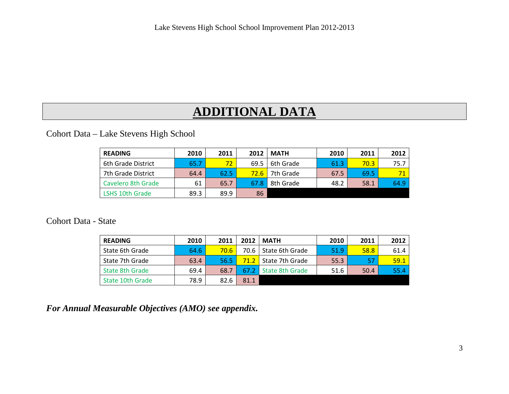# **ADDITIONAL DATA**

Cohort Data – Lake Stevens High School

| <b>READING</b>         | 2010 | 2011 | 2012           | <b>MATH</b> | 2010 | 2011 | 2012 |
|------------------------|------|------|----------------|-------------|------|------|------|
| 6th Grade District     | 65.7 | 72   | 69.5           | 6th Grade   | 61.3 | 70.3 | 75.7 |
| 7th Grade District     | 64.4 | 62.5 | $72.6^{\circ}$ | 7th Grade   | 67.5 | 69.5 | 71   |
| Cavelero 8th Grade     | 61   | 65.7 | 67.8           | 8th Grade   | 48.2 | 58.1 | 64.9 |
| <b>LSHS 10th Grade</b> | 89.3 | 89.9 | 86             |             |      |      |      |

Cohort Data - State

| <b>READING</b>   | 2010 | 2011 | 2012 | <b>MATH</b>     | 2010 | 2011 | 2012 |
|------------------|------|------|------|-----------------|------|------|------|
| State 6th Grade  | 64.6 | 70.6 | 70.6 | State 6th Grade | 51.9 | 58.8 | 61.4 |
| State 7th Grade  | 63.4 | 56.5 | 71.2 | State 7th Grade | 55.3 | 57   | 59.1 |
| State 8th Grade  | 69.4 | 68.7 | 67.2 | State 8th Grade | 51.6 | 50.4 | 55.4 |
| State 10th Grade | 78.9 | 82.6 | 81.1 |                 |      |      |      |

*For Annual Measurable Objectives (AMO) see appendix.*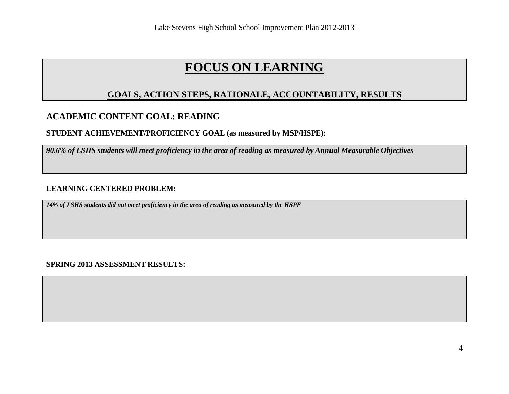#### **GOALS, ACTION STEPS, RATIONALE, ACCOUNTABILITY, RESULTS**

## **ACADEMIC CONTENT GOAL: READING**

**STUDENT ACHIEVEMENT/PROFICIENCY GOAL (as measured by MSP/HSPE):**

*90.6% of LSHS students will meet proficiency in the area of reading as measured by Annual Measurable Objectives*

#### **LEARNING CENTERED PROBLEM:**

*14% of LSHS students did not meet proficiency in the area of reading as measured by the HSPE*

**SPRING 2013 ASSESSMENT RESULTS:**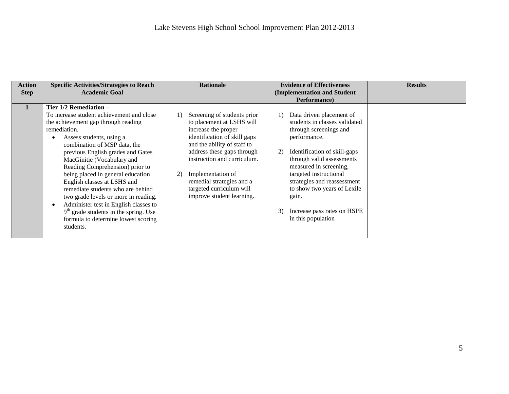| <b>Action</b> | <b>Specific Activities/Strategies to Reach</b>                                                                                                                                                                                                                                                                                                                                                                                                                                                                                                                                        | <b>Rationale</b>                                                                                                                                                                                                                                                                                                             | <b>Evidence of Effectiveness</b>                                                                                                                                                                                                                                                                                                                                   | <b>Results</b> |
|---------------|---------------------------------------------------------------------------------------------------------------------------------------------------------------------------------------------------------------------------------------------------------------------------------------------------------------------------------------------------------------------------------------------------------------------------------------------------------------------------------------------------------------------------------------------------------------------------------------|------------------------------------------------------------------------------------------------------------------------------------------------------------------------------------------------------------------------------------------------------------------------------------------------------------------------------|--------------------------------------------------------------------------------------------------------------------------------------------------------------------------------------------------------------------------------------------------------------------------------------------------------------------------------------------------------------------|----------------|
| <b>Step</b>   | <b>Academic Goal</b>                                                                                                                                                                                                                                                                                                                                                                                                                                                                                                                                                                  |                                                                                                                                                                                                                                                                                                                              | (Implementation and Student                                                                                                                                                                                                                                                                                                                                        |                |
|               |                                                                                                                                                                                                                                                                                                                                                                                                                                                                                                                                                                                       |                                                                                                                                                                                                                                                                                                                              | Performance)                                                                                                                                                                                                                                                                                                                                                       |                |
|               | Tier 1/2 Remediation -<br>To increase student achievement and close<br>the achievement gap through reading<br>remediation.<br>Assess students, using a<br>combination of MSP data, the<br>previous English grades and Gates<br>MacGinitie (Vocabulary and<br>Reading Comprehension) prior to<br>being placed in general education<br>English classes at LSHS and<br>remediate students who are behind<br>two grade levels or more in reading.<br>Administer test in English classes to<br>$9th$ grade students in the spring. Use<br>formula to determine lowest scoring<br>students. | Screening of students prior<br>to placement at LSHS will<br>increase the proper<br>identification of skill gaps<br>and the ability of staff to<br>address these gaps through<br>instruction and curriculum.<br>Implementation of<br>2)<br>remedial strategies and a<br>targeted curriculum will<br>improve student learning. | Data driven placement of<br>1)<br>students in classes validated<br>through screenings and<br>performance.<br>Identification of skill-gaps<br>2)<br>through valid assessments<br>measured in screening,<br>targeted instructional<br>strategies and reassessment<br>to show two years of Lexile<br>gain.<br>Increase pass rates on HSPE<br>3)<br>in this population |                |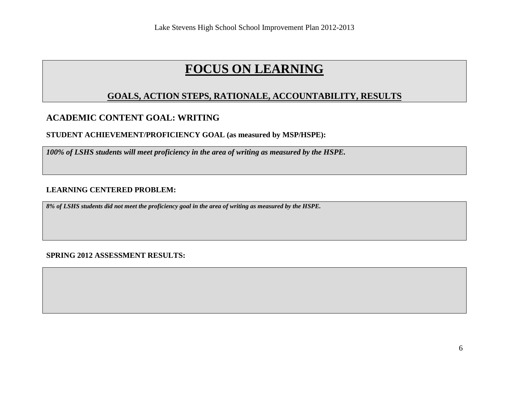## **GOALS, ACTION STEPS, RATIONALE, ACCOUNTABILITY, RESULTS**

## **ACADEMIC CONTENT GOAL: WRITING**

#### **STUDENT ACHIEVEMENT/PROFICIENCY GOAL (as measured by MSP/HSPE):**

*100% of LSHS students will meet proficiency in the area of writing as measured by the HSPE.*

#### **LEARNING CENTERED PROBLEM:**

*8% of LSHS students did not meet the proficiency goal in the area of writing as measured by the HSPE.*

#### **SPRING 2012 ASSESSMENT RESULTS:**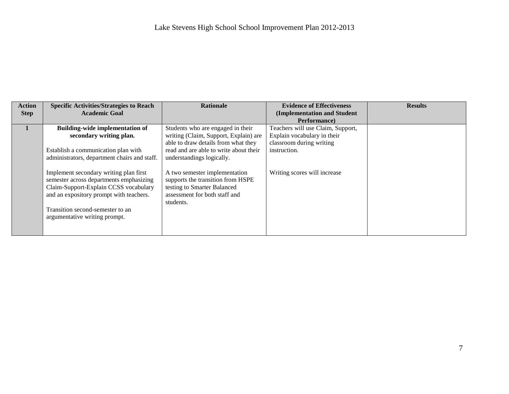| <b>Action</b> | <b>Specific Activities/Strategies to Reach</b> | <b>Rationale</b>                       | <b>Evidence of Effectiveness</b>  | <b>Results</b> |
|---------------|------------------------------------------------|----------------------------------------|-----------------------------------|----------------|
| <b>Step</b>   | <b>Academic Goal</b>                           |                                        | (Implementation and Student       |                |
|               |                                                |                                        | Performance)                      |                |
|               | <b>Building-wide implementation of</b>         | Students who are engaged in their      | Teachers will use Claim, Support, |                |
|               | secondary writing plan.                        | writing (Claim, Support, Explain) are  | Explain vocabulary in their       |                |
|               |                                                | able to draw details from what they    | classroom during writing          |                |
|               | Establish a communication plan with            | read and are able to write about their | instruction.                      |                |
|               | administrators, department chairs and staff.   | understandings logically.              |                                   |                |
|               |                                                |                                        |                                   |                |
|               | Implement secondary writing plan first         | A two semester implementation          | Writing scores will increase      |                |
|               | semester across departments emphasizing        | supports the transition from HSPE      |                                   |                |
|               | Claim-Support-Explain CCSS vocabulary          | testing to Smarter Balanced            |                                   |                |
|               | and an expository prompt with teachers.        | assessment for both staff and          |                                   |                |
|               |                                                | students.                              |                                   |                |
|               | Transition second-semester to an               |                                        |                                   |                |
|               | argumentative writing prompt.                  |                                        |                                   |                |
|               |                                                |                                        |                                   |                |
|               |                                                |                                        |                                   |                |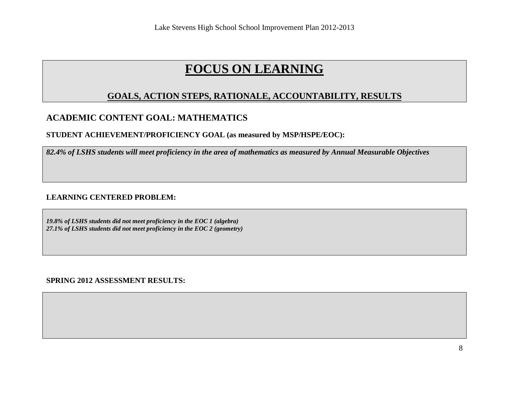## **GOALS, ACTION STEPS, RATIONALE, ACCOUNTABILITY, RESULTS**

## **ACADEMIC CONTENT GOAL: MATHEMATICS**

#### **STUDENT ACHIEVEMENT/PROFICIENCY GOAL (as measured by MSP/HSPE/EOC):**

*82.4% of LSHS students will meet proficiency in the area of mathematics as measured by Annual Measurable Objectives*

#### **LEARNING CENTERED PROBLEM:**

*19.8% of LSHS students did not meet proficiency in the EOC 1 (algebra) 27.1% of LSHS students did not meet proficiency in the EOC 2 (geometry)*

**SPRING 2012 ASSESSMENT RESULTS:**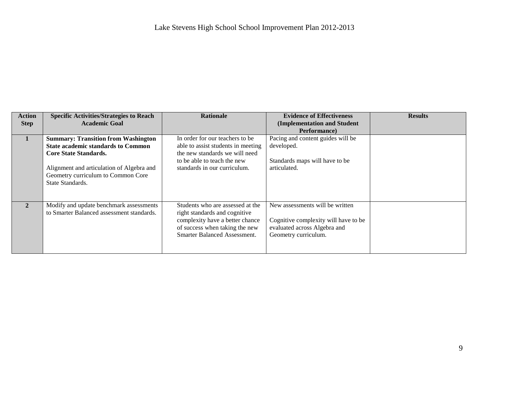| <b>Action</b> | <b>Specific Activities/Strategies to Reach</b> | <b>Rationale</b>                    | <b>Evidence of Effectiveness</b>     | <b>Results</b> |
|---------------|------------------------------------------------|-------------------------------------|--------------------------------------|----------------|
| <b>Step</b>   | <b>Academic Goal</b>                           |                                     | (Implementation and Student          |                |
|               |                                                |                                     | Performance)                         |                |
|               | <b>Summary: Transition from Washington</b>     | In order for our teachers to be.    | Pacing and content guides will be    |                |
|               | <b>State academic standards to Common</b>      | able to assist students in meeting  | developed.                           |                |
|               | <b>Core State Standards.</b>                   | the new standards we will need      |                                      |                |
|               |                                                | to be able to teach the new         | Standards maps will have to be       |                |
|               | Alignment and articulation of Algebra and      | standards in our curriculum.        | articulated.                         |                |
|               | Geometry curriculum to Common Core             |                                     |                                      |                |
|               | State Standards.                               |                                     |                                      |                |
|               |                                                |                                     |                                      |                |
|               |                                                |                                     |                                      |                |
| $\mathbf{2}$  | Modify and update benchmark assessments        | Students who are assessed at the    | New assessments will be written      |                |
|               | to Smarter Balanced assessment standards.      | right standards and cognitive       |                                      |                |
|               |                                                | complexity have a better chance     | Cognitive complexity will have to be |                |
|               |                                                | of success when taking the new      | evaluated across Algebra and         |                |
|               |                                                | <b>Smarter Balanced Assessment.</b> | Geometry curriculum.                 |                |
|               |                                                |                                     |                                      |                |
|               |                                                |                                     |                                      |                |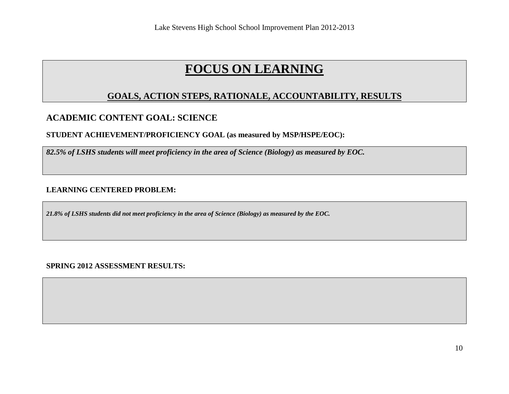## **GOALS, ACTION STEPS, RATIONALE, ACCOUNTABILITY, RESULTS**

## **ACADEMIC CONTENT GOAL: SCIENCE**

#### **STUDENT ACHIEVEMENT/PROFICIENCY GOAL (as measured by MSP/HSPE/EOC):**

*82.5% of LSHS students will meet proficiency in the area of Science (Biology) as measured by EOC.*

#### **LEARNING CENTERED PROBLEM:**

*21.8% of LSHS students did not meet proficiency in the area of Science (Biology) as measured by the EOC.*

**SPRING 2012 ASSESSMENT RESULTS:**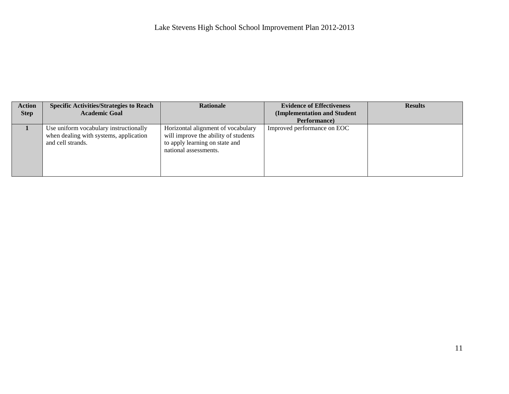| <b>Action</b> | <b>Specific Activities/Strategies to Reach</b>                                                        | <b>Rationale</b>                                                                                                                      | <b>Evidence of Effectiveness</b> | <b>Results</b> |
|---------------|-------------------------------------------------------------------------------------------------------|---------------------------------------------------------------------------------------------------------------------------------------|----------------------------------|----------------|
| <b>Step</b>   | <b>Academic Goal</b>                                                                                  |                                                                                                                                       | (Implementation and Student      |                |
|               |                                                                                                       |                                                                                                                                       | Performance)                     |                |
|               | Use uniform vocabulary instructionally<br>when dealing with systems, application<br>and cell strands. | Horizontal alignment of vocabulary<br>will improve the ability of students<br>to apply learning on state and<br>national assessments. | Improved performance on EOC      |                |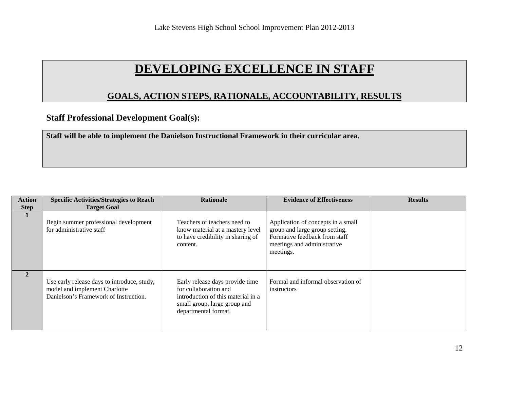# **DEVELOPING EXCELLENCE IN STAFF**

## **GOALS, ACTION STEPS, RATIONALE, ACCOUNTABILITY, RESULTS**

## **Staff Professional Development Goal(s):**

**Staff will be able to implement the Danielson Instructional Framework in their curricular area.** 

| <b>Action</b> | <b>Specific Activities/Strategies to Reach</b>                                                                        | <b>Rationale</b>                                                                                                                                       | <b>Evidence of Effectiveness</b>                                                                                                                  | <b>Results</b> |
|---------------|-----------------------------------------------------------------------------------------------------------------------|--------------------------------------------------------------------------------------------------------------------------------------------------------|---------------------------------------------------------------------------------------------------------------------------------------------------|----------------|
| <b>Step</b>   | <b>Target Goal</b>                                                                                                    |                                                                                                                                                        |                                                                                                                                                   |                |
|               | Begin summer professional development<br>for administrative staff                                                     | Teachers of teachers need to<br>know material at a mastery level<br>to have credibility in sharing of<br>content.                                      | Application of concepts in a small<br>group and large group setting.<br>Formative feedback from staff<br>meetings and administrative<br>meetings. |                |
| $\mathbf{2}$  | Use early release days to introduce, study,<br>model and implement Charlotte<br>Danielson's Framework of Instruction. | Early release days provide time<br>for collaboration and<br>introduction of this material in a<br>small group, large group and<br>departmental format. | Formal and informal observation of<br>instructors                                                                                                 |                |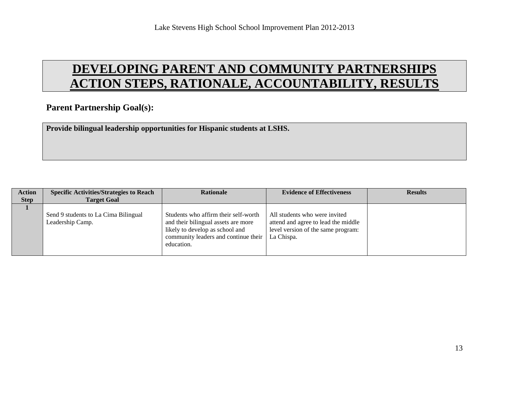# **DEVELOPING PARENT AND COMMUNITY PARTNERSHIPS ACTION STEPS, RATIONALE, ACCOUNTABILITY, RESULTS**

## **Parent Partnership Goal(s):**

**Provide bilingual leadership opportunities for Hispanic students at LSHS.**

| <b>Action</b> | <b>Specific Activities/Strategies to Reach</b>           | <b>Rationale</b>                                                                                                                                                     | <b>Evidence of Effectiveness</b>                                                                                         | <b>Results</b> |
|---------------|----------------------------------------------------------|----------------------------------------------------------------------------------------------------------------------------------------------------------------------|--------------------------------------------------------------------------------------------------------------------------|----------------|
| <b>Step</b>   | <b>Target Goal</b>                                       |                                                                                                                                                                      |                                                                                                                          |                |
|               | Send 9 students to La Cima Bilingual<br>Leadership Camp. | Students who affirm their self-worth<br>and their bilingual assets are more<br>likely to develop as school and<br>community leaders and continue their<br>education. | All students who were invited<br>attend and agree to lead the middle<br>level version of the same program:<br>La Chispa. |                |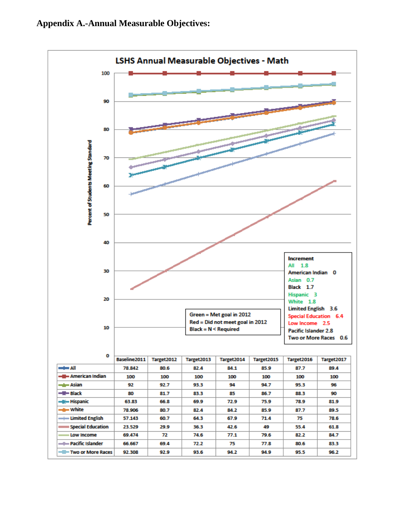